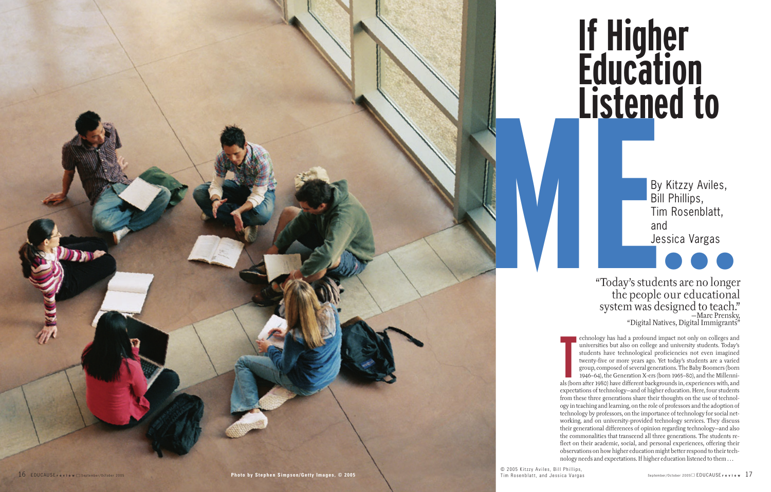echnology has had a protound impact not only on colleges and<br>
universities but also on college and university students. Today's<br>
students have technological proficiencies not even imagined<br>
twenty-five or more years ago. Y echnology has had a profound impact not only on colleges and universities but also on college and university students. Today's students have technological proficiencies not even imagined twenty-five or more years ago. Yet today's students are a varied group, composed of several generations. The Baby Boomers (born 1946–64), the Generation X-ers (born 1965–80), and the Millenniexpectations of technology—and of higher education. Here, four students from these three generations share their thoughts on the use of technology in teaching and learning, on the role of professors and the adoption of technology by professors, on the importance of technology for social networking, and on university-provided technology services. They discuss their generational differences of opinion regarding technology—and also the commonalities that transcend all three generations. The students reflect on their academic, social, and personal experiences, offering their observations on how higher education might better respond to their technology needs and expectations. If higher education listened to them . . .

**MERICO TO**<br>By Kitzzy Aviles,<br>Bill Phillips,<br>Tim Rosenblatt,<br>and<br>Jessica Vargas<br>"Today's students are no longe;<br>the people our educational<br>system was designed to teach? "Today's students are no longer the people our educational system was designed to teach." —Marc Prensky, "Digital Natives, Digital Immigrants"

© 2005 Kitzzy Aviles, Bill Phillips,

# **If Higher Education Listened to**

By Kitzzy Aviles, Bill Phillips, Tim Rosenblatt, and Jessica Vargas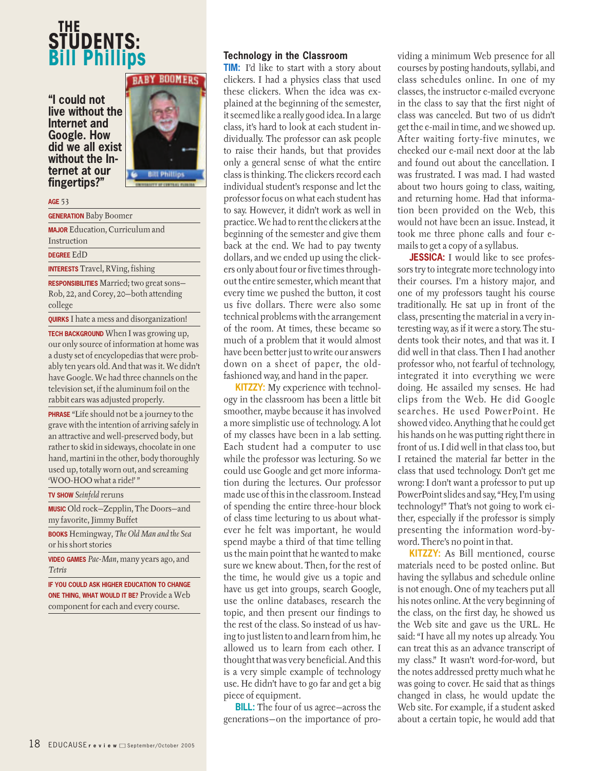# **THE STUDENTS: Bill Philli**

**"I could not live without the Internet and Google. How did we all exist without the Internet at our fingertips?"**



#### **AGE** 53

**GENERATION** Baby Boomer

**MAJOR** Education, Curriculum and

Instruction

**DEGREE** EdD

**INTERESTS** Travel, RVing, fishing

**RESPONSIBILITIES** Married; two great sons— Rob, 22, and Corey, 20—both attending college

**QUIRKS** I hate a mess and disorganization!

**TECH BACKGROUND** When I was growing up. our only source of information at home was a dusty set of encyclopedias that were probably ten years old. And that was it. We didn't have Google. We had three channels on the television set, if the aluminum foil on the rabbit ears was adjusted properly.

**PHRASE** "Life should not be a journey to the grave with the intention of arriving safely in an attractive and well-preserved body, but rather to skid in sideways, chocolate in one hand, martini in the other, body thoroughly used up, totally worn out, and screaming 'WOO-HOO what a ride!''

**TV SHOW** *Seinfeld* reruns

**MUSIC** Old rock—Zepplin, The Doors—and my favorite, Jimmy Buffet

**BOOKS** Hemingway, *The Old Man and the Sea* or his short stories

**VIDEO GAMES** *Pac-Man*, many years ago, and *Tetris*

**IF YOU COULD ASK HIGHER EDUCATION TO CHANGE ONE THING, WHAT WOULD IT BE?** Provide a Web component for each and every course.

# **Technology in the Classroom**

**TIM:** I'd like to start with a story about clickers. I had a physics class that used these clickers. When the idea was explained at the beginning of the semester, it seemed like a really good idea. In a large class, it's hard to look at each student individually. The professor can ask people to raise their hands, but that provides only a general sense of what the entire class is thinking. The clickers record each individual student's response and let the professor focus on what each student has to say. However, it didn't work as well in practice. We had to rent the clickers at the beginning of the semester and give them back at the end. We had to pay twenty dollars, and we ended up using the clickers only about four or five times throughout the entire semester, which meant that every time we pushed the button, it cost us five dollars. There were also some technical problems with the arrangement of the room. At times, these became so much of a problem that it would almost have been better just to write our answers down on a sheet of paper, the oldfashioned way, and hand in the paper.

**KITZZY:** My experience with technology in the classroom has been a little bit smoother, maybe because it has involved a more simplistic use of technology. A lot of my classes have been in a lab setting. Each student had a computer to use while the professor was lecturing. So we could use Google and get more information during the lectures. Our professor made use of this in the classroom. Instead of spending the entire three-hour block of class time lecturing to us about whatever he felt was important, he would spend maybe a third of that time telling us the main point that he wanted to make sure we knew about. Then, for the rest of the time, he would give us a topic and have us get into groups, search Google, use the online databases, research the topic, and then present our findings to the rest of the class. So instead of us having to just listen to and learn from him, he allowed us to learn from each other. I thought that was very beneficial. And this is a very simple example of technology use. He didn't have to go far and get a big piece of equipment.

**BILL:** The four of us agree—across the generations—on the importance of providing a minimum Web presence for all courses by posting handouts, syllabi, and class schedules online. In one of my classes, the instructor e-mailed everyone in the class to say that the first night of class was canceled. But two of us didn't get the e-mail in time, and we showed up. After waiting forty-five minutes, we checked our e-mail next door at the lab and found out about the cancellation. I was frustrated. I was mad. I had wasted about two hours going to class, waiting, and returning home. Had that information been provided on the Web, this would not have been an issue. Instead, it took me three phone calls and four emails to get a copy of a syllabus.

**JESSICA:** I would like to see professors try to integrate more technology into their courses. I'm a history major, and one of my professors taught his course traditionally. He sat up in front of the class, presenting the material in a very interesting way, as if it were a story. The students took their notes, and that was it. I did well in that class. Then I had another professor who, not fearful of technology, integrated it into everything we were doing. He assailed my senses. He had clips from the Web. He did Google searches. He used PowerPoint. He showed video. Anything that he could get his hands on he was putting right there in front of us. I did well in that class too, but I retained the material far better in the class that used technology. Don't get me wrong: I don't want a professor to put up PowerPoint slides and say, "Hey, I'm using technology!" That's not going to work either, especially if the professor is simply presenting the information word-byword. There's no point in that.

**KITZZY:** As Bill mentioned, course materials need to be posted online. But having the syllabus and schedule online is not enough. One of my teachers put all his notes online. At the very beginning of the class, on the first day, he showed us the Web site and gave us the URL. He said: "I have all my notes up already. You can treat this as an advance transcript of my class." It wasn't word-for-word, but the notes addressed pretty much what he was going to cover. He said that as things changed in class, he would update the Web site. For example, if a student asked about a certain topic, he would add that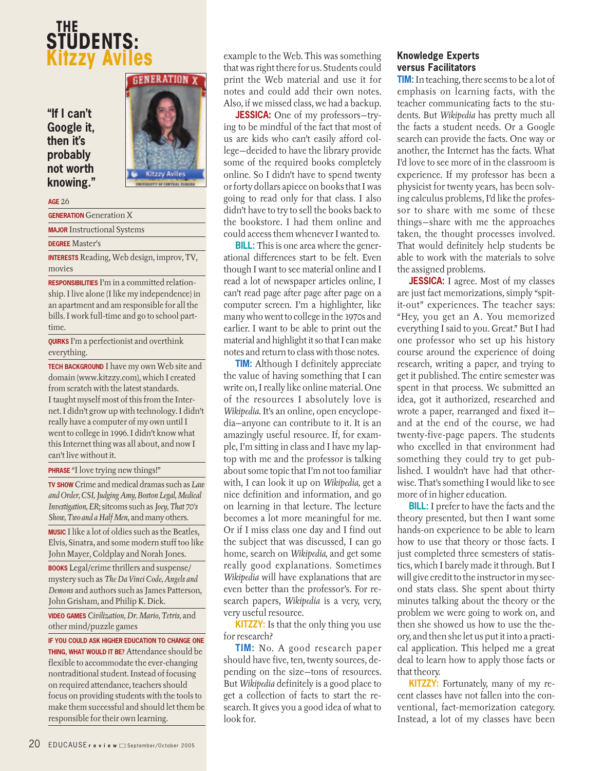# **THE STUDENTS: Kitzzy Aviles**

**"If I can't Google it, then it's probably not worth knowing."**



**AGE** 26

**GENERATION** Generation X

**MAJOR** Instructional Systems

**DEGREE** Master's

**INTERESTS** Reading, Web design, improv, TV, movies

**RESPONSIBILITIES** I'm in a committed relationship. I live alone (I like my independence) in an apartment and am responsible for all the bills. I work full-time and go to school parttime.

**QUIRKS** I'm a perfectionist and overthink everything.

**TECH BACKGROUND** I have my own Web site and domain (www.kitzzy.com), which I created from scratch with the latest standards. I taught myself most of this from the Internet. I didn't grow up with technology. I didn't really have a computer of my own until I went to college in 1996. I didn't know what this Internet thing was all about, and now I can't live without it.

**PHRASE** "I love trying new things!"

**TV SHOW** Crime and medical dramas such as *Law and Order, CSI, Judging Amy, Boston Legal, Medical Investigation, ER*; sitcoms such as *Joey, That 70's Show, Two and a Half Men*, and many others.

**MUSIC** I like a lot of oldies such as the Beatles, Elvis, Sinatra, and some modern stuff too like John Mayer, Coldplay and Norah Jones.

**BOOKS** Legal/crime thrillers and suspense/ mystery such as *The Da Vinci Code, Angels and Demons* and authors such as James Patterson, John Grisham, and Philip K. Dick.

**VIDEO GAMES** *Civilization, Dr. Mario, Tetris,* and other mind/puzzle games

**IF YOU COULD ASK HIGHER EDUCATION TO CHANGE ONE THING, WHAT WOULD IT BE?** Attendance should be flexible to accommodate the ever-changing nontraditional student. Instead of focusing on required attendance, teachers should focus on providing students with the tools to make them successful and should let them be responsible for their own learning.

example to the Web. This was something that was right there for us. Students could print the Web material and use it for notes and could add their own notes. Also, if we missed class, we had a backup.

**JESSICA:** One of my professors—trying to be mindful of the fact that most of us are kids who can't easily afford college—decided to have the library provide some of the required books completely online. So I didn't have to spend twenty or forty dollars apiece on books that I was going to read only for that class. I also didn't have to try to sell the books back to the bookstore. I had them online and could access them whenever I wanted to.

**BILL:** This is one area where the generational differences start to be felt. Even though I want to see material online and I read a lot of newspaper articles online, I can't read page after page after page on a computer screen. I'm a highlighter, like many who went to college in the 1970s and earlier. I want to be able to print out the material and highlight it so that I can make notes and return to class with those notes.

**TIM:** Although I definitely appreciate the value of having something that I can write on, I really like online material. One of the resources I absolutely love is *Wikipedia.* It's an online, open encyclopedia—anyone can contribute to it. It is an amazingly useful resource. If, for example, I'm sitting in class and I have my laptop with me and the professor is talking about some topic that I'm not too familiar with, I can look it up on *Wikipedia,* get a nice definition and information, and go on learning in that lecture. The lecture becomes a lot more meaningful for me. Or if I miss class one day and I find out the subject that was discussed, I can go home, search on *Wikipedia,* and get some really good explanations. Sometimes *Wikipedia* will have explanations that are even better than the professor's. For research papers, *Wikipedia* is a very, very, very useful resource.

**KITZZY:** Is that the only thing you use for research?

**TIM:** No. A good research paper should have five, ten, twenty sources, depending on the size—tons of resources. But *Wikipedia* definitely is a good place to get a collection of facts to start the research. It gives you a good idea of what to look for.

# **Knowledge Experts versus Facilitators**

**TIM:**In teaching, there seems to be a lot of emphasis on learning facts, with the teacher communicating facts to the students. But *Wikipedia* has pretty much all the facts a student needs. Or a Google search can provide the facts. One way or another, the Internet has the facts. What I'd love to see more of in the classroom is experience. If my professor has been a physicist for twenty years, has been solving calculus problems, I'd like the professor to share with me some of these things—share with me the approaches taken, the thought processes involved. That would definitely help students be able to work with the materials to solve the assigned problems.

**JESSICA:** I agree. Most of my classes are just fact memorizations, simply "spitit-out" experiences. The teacher says: "Hey, you get an A. You memorized everything I said to you. Great." But I had one professor who set up his history course around the experience of doing research, writing a paper, and trying to get it published. The entire semester was spent in that process. We submitted an idea, got it authorized, researched and wrote a paper, rearranged and fixed it and at the end of the course, we had twenty-five-page papers. The students who excelled in that environment had something they could try to get published. I wouldn't have had that otherwise. That's something I would like to see more of in higher education.

**BILL:** I prefer to have the facts and the theory presented, but then I want some hands-on experience to be able to learn how to use that theory or those facts. I just completed three semesters of statistics, which I barely made it through. But I will give credit to the instructor in my second stats class. She spent about thirty minutes talking about the theory or the problem we were going to work on, and then she showed us how to use the theory, and then she let us put it into a practical application. This helped me a great deal to learn how to apply those facts or that theory.

**KITZZY:** Fortunately, many of my recent classes have not fallen into the conventional, fact-memorization category. Instead, a lot of my classes have been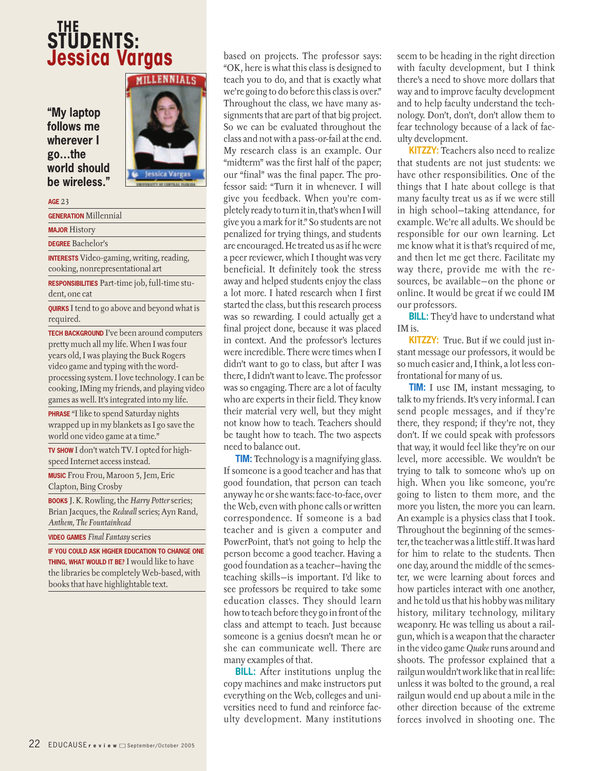# **THE STUDENTS: Jessica Vargas**

**"My laptop follows me wherever I go…the world should be wireless."**



#### **AGE** 23

**GENERATION** Millennial

**MAJOR** History

**DEGREE** Bachelor's

**INTERESTS** Video-gaming, writing, reading, cooking, nonrepresentational art

**RESPONSIBILITIES** Part-time job, full-time student, one cat

**QUIRKS** I tend to go above and beyond what is required.

**TECH BACKGROUND** I've been around computers pretty much all my life. When I was four years old, I was playing the Buck Rogers video game and typing with the wordprocessing system. I love technology. I can be cooking, IMing my friends, and playing video games as well. It's integrated into my life.

**PHRASE** "I like to spend Saturday nights wrapped up in my blankets as I go save the world one video game at a time."

**TV SHOW** I don't watch TV. I opted for highspeed Internet access instead.

**MUSIC** Frou Frou, Maroon 5, Jem, Eric Clapton, Bing Crosby

**BOOKS** J. K. Rowling, the *Harry Potter* series; Brian Jacques, the *Redwall* series; Ayn Rand, *Anthem, The Fountainhead*

**VIDEO GAMES** *Final Fantasy* series

**IF YOU COULD ASK HIGHER EDUCATION TO CHANGE ONE THING, WHAT WOULD IT BE?** I would like to have the libraries be completely Web-based, with books that have highlightable text.

based on projects. The professor says: "OK, here is what this class is designed to teach you to do, and that is exactly what we're going to do before this class is over." Throughout the class, we have many assignments that are part of that big project. So we can be evaluated throughout the class and not with a pass-or-fail at the end. My research class is an example. Our "midterm" was the first half of the paper; our "final" was the final paper. The professor said: "Turn it in whenever. I will give you feedback. When you're completely ready to turn it in, that's when I will give you a mark for it." So students are not penalized for trying things, and students are encouraged. He treated us as if he were a peer reviewer, which I thought was very beneficial. It definitely took the stress away and helped students enjoy the class a lot more. I hated research when I first started the class, but this research process was so rewarding. I could actually get a final project done, because it was placed in context. And the professor's lectures were incredible. There were times when I didn't want to go to class, but after I was there, I didn't want to leave. The professor was so engaging. There are a lot of faculty who are experts in their field. They know their material very well, but they might not know how to teach. Teachers should be taught how to teach. The two aspects need to balance out.

**TIM:** Technology is a magnifying glass. If someone is a good teacher and has that good foundation, that person can teach anyway he or she wants: face-to-face, over the Web, even with phone calls or written correspondence. If someone is a bad teacher and is given a computer and PowerPoint, that's not going to help the person become a good teacher. Having a good foundation as a teacher—having the teaching skills—is important. I'd like to see professors be required to take some education classes. They should learn how to teach before they go in front of the class and attempt to teach. Just because someone is a genius doesn't mean he or she can communicate well. There are many examples of that.

**BILL:** After institutions unplug the copy machines and make instructors put everything on the Web, colleges and universities need to fund and reinforce faculty development. Many institutions seem to be heading in the right direction with faculty development, but I think there's a need to shove more dollars that way and to improve faculty development and to help faculty understand the technology. Don't, don't, don't allow them to fear technology because of a lack of faculty development.

**KITZZY:** Teachers also need to realize that students are not just students: we have other responsibilities. One of the things that I hate about college is that many faculty treat us as if we were still in high school—taking attendance, for example. We're all adults. We should be responsible for our own learning. Let me know what it is that's required of me, and then let me get there. Facilitate my way there, provide me with the resources, be available—on the phone or online. It would be great if we could IM our professors.

**BILL:** They'd have to understand what IM is.

**KITZZY:** True. But if we could just instant message our professors, it would be so much easier and, I think, a lot less confrontational for many of us.

**TIM:** I use IM, instant messaging, to talk to my friends. It's very informal. I can send people messages, and if they're there, they respond; if they're not, they don't. If we could speak with professors that way, it would feel like they're on our level, more accessible. We wouldn't be trying to talk to someone who's up on high. When you like someone, you're going to listen to them more, and the more you listen, the more you can learn. An example is a physics class that I took. Throughout the beginning of the semester, the teacher was a little stiff. It was hard for him to relate to the students. Then one day, around the middle of the semester, we were learning about forces and how particles interact with one another, and he told us that his hobby was military history, military technology, military weaponry. He was telling us about a railgun, which is a weapon that the character in the video game *Quake* runs around and shoots. The professor explained that a railgun wouldn't work like that in real life: unless it was bolted to the ground, a real railgun would end up about a mile in the other direction because of the extreme forces involved in shooting one. The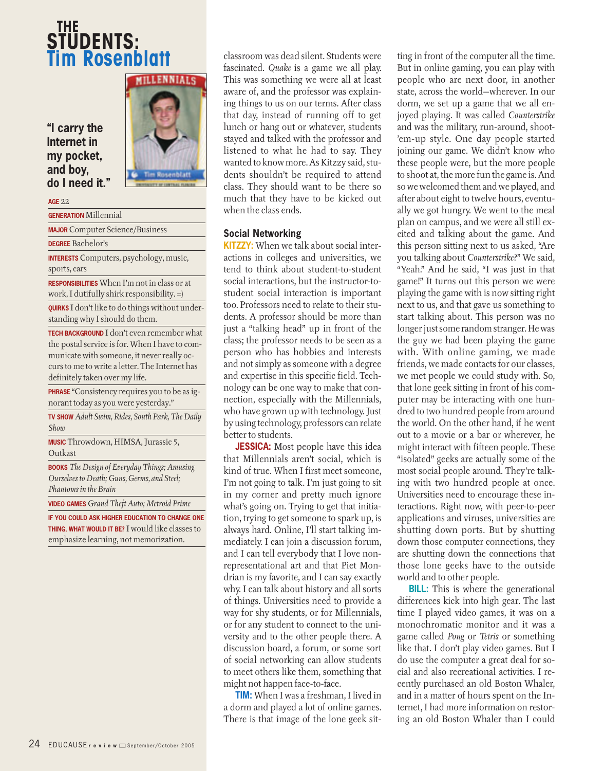# **THE STUDENTS: Tim Rosenblatt**

**"I carry the Internet in my pocket, and boy, do I need it."**



#### **AGE** 22

**GENERATION** Millennial

**MAJOR** Computer Science/Business

**DEGREE** Bachelor's

**INTERESTS** Computers, psychology, music, sports, cars

**RESPONSIBILITIES** When I'm not in class or at work, I dutifully shirk responsibility. =)

**QUIRKS** I don't like to do things without understanding why I should do them.

**TECH BACKGROUND** I don't even remember what the postal service is for. When I have to communicate with someone, it never really occurs to me to write a letter. The Internet has definitely taken over my life.

**PHRASE** "Consistency requires you to be as ignorant today as you were yesterday."

**TV SHOW** *Adult Swim, Rides, South Park, The Daily Show*

**MUSIC** Throwdown, HIMSA, Jurassic 5, Outkast

**BOOKS** *The Design of Everyday Things; Amusing Ourselves to Death; Guns, Germs, and Steel; Phantoms in the Brain*

**VIDEO GAMES** *Grand Theft Auto; Metroid Prime*

**IF YOU COULD ASK HIGHER EDUCATION TO CHANGE ONE THING, WHAT WOULD IT BE?** I would like classes to emphasize learning, not memorization.

classroom was dead silent. Students were fascinated. *Quake* is a game we all play. This was something we were all at least aware of, and the professor was explaining things to us on our terms. After class that day, instead of running off to get lunch or hang out or whatever, students stayed and talked with the professor and listened to what he had to say. They wanted to know more. As Kitzzy said, students shouldn't be required to attend class. They should want to be there so much that they have to be kicked out when the class ends.

## **Social Networking**

**KITZZY:** When we talk about social interactions in colleges and universities, we tend to think about student-to-student social interactions, but the instructor-tostudent social interaction is important too. Professors need to relate to their students. A professor should be more than just a "talking head" up in front of the class; the professor needs to be seen as a person who has hobbies and interests and not simply as someone with a degree and expertise in this specific field. Technology can be one way to make that connection, especially with the Millennials, who have grown up with technology. Just by using technology, professors can relate better to students.

**JESSICA:** Most people have this idea that Millennials aren't social, which is kind of true. When I first meet someone, I'm not going to talk. I'm just going to sit in my corner and pretty much ignore what's going on. Trying to get that initiation, trying to get someone to spark up, is always hard. Online, I'll start talking immediately. I can join a discussion forum, and I can tell everybody that I love nonrepresentational art and that Piet Mondrian is my favorite, and I can say exactly why. I can talk about history and all sorts of things. Universities need to provide a way for shy students, or for Millennials, or for any student to connect to the university and to the other people there. A discussion board, a forum, or some sort of social networking can allow students to meet others like them, something that might not happen face-to-face.

**TIM:** When I was a freshman, I lived in a dorm and played a lot of online games. There is that image of the lone geek sitting in front of the computer all the time. But in online gaming, you can play with people who are next door, in another state, across the world—wherever. In our dorm, we set up a game that we all enjoyed playing. It was called *Counterstrike* and was the military, run-around, shoot- 'em-up style. One day people started joining our game. We didn't know who these people were, but the more people to shoot at, the more fun the game is. And so we welcomed them and we played, and after about eight to twelve hours, eventually we got hungry. We went to the meal plan on campus, and we were all still excited and talking about the game. And this person sitting next to us asked, "Are you talking about *Counterstrike*?" We said, "Yeah." And he said, "I was just in that game!" It turns out this person we were playing the game with is now sitting right next to us, and that gave us something to start talking about. This person was no longer just some random stranger. He was the guy we had been playing the game with. With online gaming, we made friends, we made contacts for our classes, we met people we could study with. So, that lone geek sitting in front of his computer may be interacting with one hundred to two hundred people from around the world. On the other hand, if he went out to a movie or a bar or wherever, he might interact with fifteen people. These "isolated" geeks are actually some of the most social people around. They're talking with two hundred people at once. Universities need to encourage these interactions. Right now, with peer-to-peer applications and viruses, universities are shutting down ports. But by shutting down those computer connections, they are shutting down the connections that those lone geeks have to the outside world and to other people.

**BILL:** This is where the generational differences kick into high gear. The last time I played video games, it was on a monochromatic monitor and it was a game called *Pong* or *Tetris* or something like that. I don't play video games. But I do use the computer a great deal for social and also recreational activities. I recently purchased an old Boston Whaler, and in a matter of hours spent on the Internet, I had more information on restoring an old Boston Whaler than I could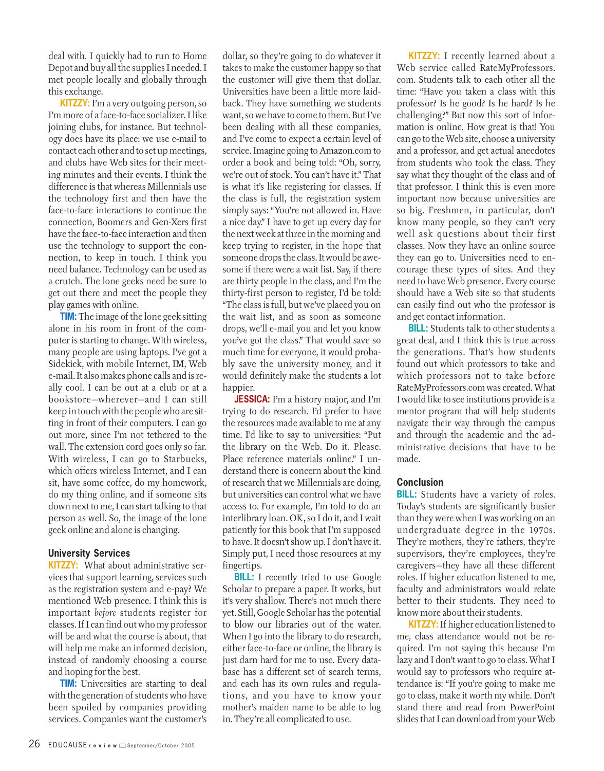deal with. I quickly had to run to Home Depot and buy all the supplies I needed. I met people locally and globally through this exchange.

**KITZZY:** I'm a very outgoing person, so I'm more of a face-to-face socializer. I like joining clubs, for instance. But technology does have its place: we use e-mail to contact each other and to set up meetings, and clubs have Web sites for their meeting minutes and their events. I think the difference is that whereas Millennials use the technology first and then have the face-to-face interactions to continue the connection, Boomers and Gen-Xers first have the face-to-face interaction and then use the technology to support the connection, to keep in touch. I think you need balance. Technology can be used as a crutch. The lone geeks need be sure to get out there and meet the people they play games with online.

**TIM:** The image of the lone geek sitting alone in his room in front of the computer is starting to change. With wireless, many people are using laptops. I've got a Sidekick, with mobile Internet, IM, Web e-mail. It also makes phone calls and is really cool. I can be out at a club or at a bookstore—wherever—and I can still keep in touch with the people who are sitting in front of their computers. I can go out more, since I'm not tethered to the wall. The extension cord goes only so far. With wireless, I can go to Starbucks, which offers wireless Internet, and I can sit, have some coffee, do my homework, do my thing online, and if someone sits down next to me, I can start talking to that person as well. So, the image of the lone geek online and alone is changing.

## **University Services**

**KITZZY:** What about administrative services that support learning, services such as the registration system and e-pay? We mentioned Web presence. I think this is important *before* students register for classes. If I can find out who my professor will be and what the course is about, that will help me make an informed decision, instead of randomly choosing a course and hoping for the best.

**TIM:** Universities are starting to deal with the generation of students who have been spoiled by companies providing services. Companies want the customer's

dollar, so they're going to do whatever it takes to make the customer happy so that the customer will give them that dollar. Universities have been a little more laidback. They have something we students want, so we have to come to them. But I've been dealing with all these companies, and I've come to expect a certain level of service. Imagine going to Amazon.com to order a book and being told: "Oh, sorry, we're out of stock. You can't have it." That is what it's like registering for classes. If the class is full, the registration system simply says: "You're not allowed in. Have a nice day." I have to get up every day for the next week at three in the morning and keep trying to register, in the hope that someone drops the class. It would be awesome if there were a wait list. Say, if there are thirty people in the class, and I'm the thirty-first person to register, I'd be told: "The class is full, but we've placed you on the wait list, and as soon as someone drops, we'll e-mail you and let you know you've got the class." That would save so much time for everyone, it would probably save the university money, and it would definitely make the students a lot happier.

**JESSICA:** I'm a history major, and I'm trying to do research. I'd prefer to have the resources made available to me at any time. I'd like to say to universities: "Put the library on the Web. Do it. Please. Place reference materials online." I understand there is concern about the kind of research that we Millennials are doing, but universities can control what we have access to. For example, I'm told to do an interlibrary loan. OK, so I do it, and I wait patiently for this book that I'm supposed to have. It doesn't show up. I don't have it. Simply put, I need those resources at my fingertips.

**BILL:** I recently tried to use Google Scholar to prepare a paper. It works, but it's very shallow. There's not much there yet. Still, Google Scholar has the potential to blow our libraries out of the water. When I go into the library to do research, either face-to-face or online, the library is just darn hard for me to use. Every database has a different set of search terms, and each has its own rules and regulations, and you have to know your mother's maiden name to be able to log in. They're all complicated to use.

**KITZZY:** I recently learned about a Web service called RateMyProfessors. com. Students talk to each other all the time: "Have you taken a class with this professor? Is he good? Is he hard? Is he challenging?" But now this sort of information is online. How great is that! You can go to the Web site, choose a university and a professor, and get actual anecdotes from students who took the class. They say what they thought of the class and of that professor. I think this is even more important now because universities are so big. Freshmen, in particular, don't know many people, so they can't very well ask questions about their first classes. Now they have an online source they can go to. Universities need to encourage these types of sites. And they need to have Web presence. Every course should have a Web site so that students can easily find out who the professor is and get contact information.

**BILL:** Students talk to other students a great deal, and I think this is true across the generations. That's how students found out which professors to take and which professors not to take before RateMyProfessors.com was created. What I would like to see institutions provide is a mentor program that will help students navigate their way through the campus and through the academic and the administrative decisions that have to be made.

## **Conclusion**

**BILL:** Students have a variety of roles. Today's students are significantly busier than they were when I was working on an undergraduate degree in the 1970s. They're mothers, they're fathers, they're supervisors, they're employees, they're caregivers—they have all these different roles. If higher education listened to me, faculty and administrators would relate better to their students. They need to know more about their students.

**KITZZY:**If higher education listened to me, class attendance would not be required. I'm not saying this because I'm lazy and I don't want to go to class. What I would say to professors who require attendance is: "If you're going to make me go to class, make it worth my while. Don't stand there and read from PowerPoint slides that I can download from your Web